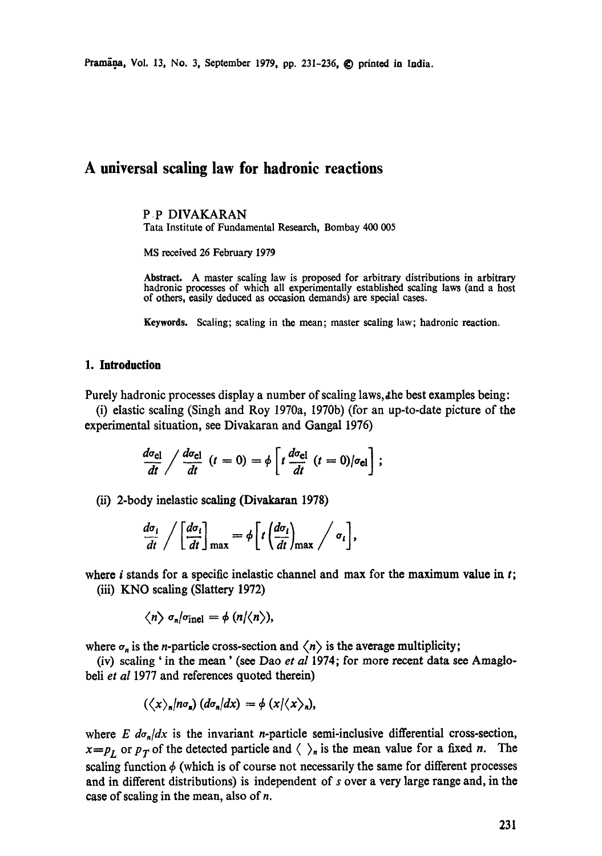Pramāņa, Vol. 13, No. 3, September 1979, pp. 231-236, © printed in India.

# **A universal scaling law for hadronic reactions**

P P DIVAKARAN Tata Institute of Fundamental Research, Bombay 400 005

MS received 26 February 1979

Abstract. A master sealing law is proposed for arbitrary distributions in arbitrary hadronic processes of which all experimentally established scaling laws (and a host of others, easily deduced as occasion demands) are special cases.

Keywords. Scaling; scaling in the mean; master sealing law; hadronic reaction.

#### **1. Introduction**

Purely hadronic processes display a number of scaling laws, the best examples being:

(i) elastic scaling (Singh and Roy 1970a, 1970b) (for an up-to-date picture of the experimental situation, see Divakaran and Gangal 1976)

$$
\frac{d\sigma_{\rm el}}{dt}\bigg/\frac{d\sigma_{\rm el}}{dt}\,\,(t=0)=\phi\left[t\,\frac{d\sigma_{\rm el}}{dt}\,\,(t=0)|\sigma_{\rm el}\right];
$$

(ii) 2-body inelastic scaling (Divakaran 1978)

$$
\frac{d\sigma_i}{dt} / \left[ \frac{d\sigma_i}{dt} \right]_{\text{max}} = \phi \left[ t \left( \frac{d\sigma_i}{dt} \right)_{\text{max}} / \sigma_i \right],
$$

where i stands for a specific inelastic channel and max for the maximum value in  $t$ ; (iii) KNO scaling (Slattery 1972)

$$
\langle n \rangle \sigma_n / \sigma_{\text{inel}} = \phi (n/\langle n \rangle),
$$

where  $\sigma_n$  is the *n*-particle cross-section and  $\langle n \rangle$  is the average multiplicity;

(iv) scaling' in the mean' (see Dan *et al* 1974; for more recent data see Amaglobeli *et al* 1977 and references quoted therein)

$$
(\langle x \rangle_n / n \sigma_n) (d\sigma_n / dx) = \phi (x / \langle x \rangle_n),
$$

where *E*  $d\sigma_n/dx$  is the invariant *n*-particle semi-inclusive differential cross-section,  $x=p_L$  or  $p_T$  of the detected particle and  $\langle \ \rangle_n$  is the mean value for a fixed *n*. The scaling function  $\phi$  (which is of course not necessarily the same for different processes and in different distributions) is independent of s over a very large range and, in the case of scaling in the mean, also of n.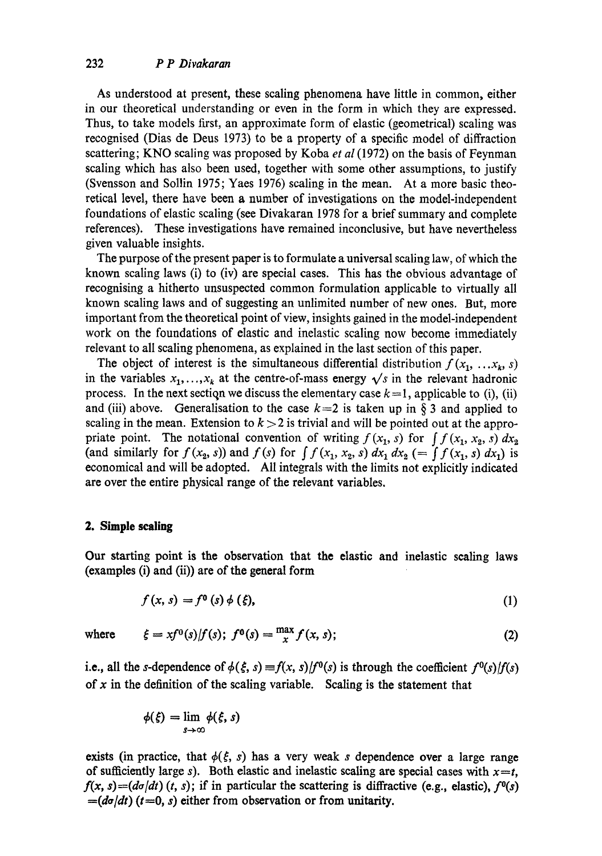## 232 *P P Divakaran*

As understood at present, these scaling phenomena have little in common, either in our theoretical understanding or even in the form in which they are expressed. Thus, to take models first, an approximate form of elastic (geometrical) scaling was recognised (Dias de Deus 1973) to be a property of a specific model of diffraction scattering; KNO scaling was proposed by Koba *et al* (1972) on the basis of Feynman scaling which has also been used, together with some other assumptions, to justify (Svensson and Sollin 1975; Yaes 1976) scaling in the mean. At a more basic theoretical level, there have been a number of investigations on the model-independent foundations of elastic scaling (see Divakaran 1978 for a brief summary and complete references). These investigations have remained inconclusive, but have nevertheless given valuable insights.

The purpose of the present paper is to formulate a universal scaling law, of which the known scaling laws (i) to (iv) are special cases. This has the obvious advantage of reeognising a hitherto unsuspected common formulation applicable to virtually all known scaling laws and of suggesting an unlimited number of new ones. But, more important from the theoretical point of view, insights gained in the model-independent work on the foundations of elastic and inelastic scaling now become immediately relevant to all scaling phenomena, as explained in the last section of this paper.

The object of interest is the simultaneous differential distribution  $f(x_1, \ldots, x_k, s)$ in the variables  $x_1, \ldots, x_k$  at the centre-of-mass energy  $\sqrt{s}$  in the relevant hadronic process. In the next section we discuss the elementary case  $k = 1$ , applicable to (i), (ii) and (iii) above. Generalisation to the case  $k=2$  is taken up in § 3 and applied to scaling in the mean. Extension to  $k > 2$  is trivial and will be pointed out at the appropriate point. The notational convention of writing  $f(x_1, s)$  for  $\int f(x_1, x_2, s) dx_2$ (and similarly for  $f(x_2, s)$ ) and  $f(s)$  for  $\int f(x_1, x_2, s) dx_1 dx_2 (= \int f(x_1, s) dx_1$ ) is economical and will be adopted. All integrals with the limits not explicitly indicated are over the entire physical range of the relevant variables.

#### **2. Simple sealing**

Our starting point is the observation that the elastic and inelastic sealing laws (examples (i) and (ii)) are of the general form

$$
f(x, s) = f^{\mathbf{0}}(s) \phi(\xi), \tag{1}
$$

where 
$$
\xi = xf^0(s)/f(s); f^0(s) = \frac{\max x}{x} f(x, s);
$$
 (2)

i.e., all the s-dependence of  $\phi(\xi, s) = f(x, s)/f^0(s)$  is through the coefficient  $f^0(s)/f(s)$ of  $x$  in the definition of the scaling variable. Scaling is the statement that

$$
\phi(\xi)=\lim_{s\to\infty}\phi(\xi,s)
$$

exists (in practice, that  $\phi(\xi, s)$  has a very weak s dependence over a large range of sufficiently large s). Both elastic and inelastic scaling are special cases with  $x=t$ ,  $f(x, s) = (d\sigma/dt)$  (*t*, *s*); if in particular the scattering is diffractive (e.g., elastic),  $f<sup>0</sup>(s)$  $=(d\sigma/dt)$   $(t=0, s)$  either from observation or from unitarity.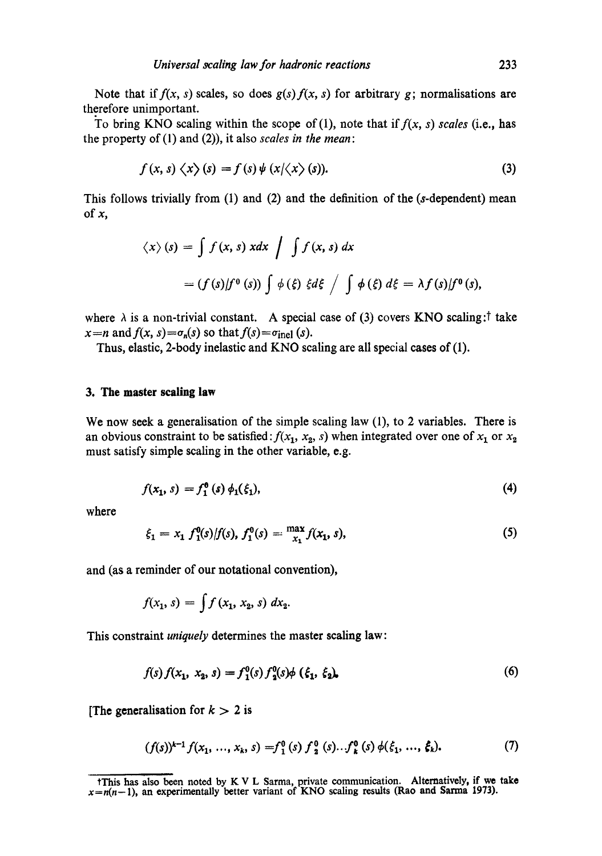Note that if  $f(x, s)$  scales, so does  $g(s) f(x, s)$  for arbitrary g; normalisations are therefore unimportant.

To bring KNO scaling within the scope of  $(1)$ , note that if  $f(x, s)$  scales (i.e., has the property of (1) and (2)), it also *scales in the mean:* 

$$
f(x, s) \langle x \rangle (s) = f(s) \psi (x/\langle x \rangle (s)). \tag{3}
$$

This follows trivially from  $(1)$  and  $(2)$  and the definition of the (s-dependent) mean of  $x$ ,

$$
\langle x \rangle (s) = \int f(x, s) x dx \int \int f(x, s) dx
$$
  
=  $(f(s)/f^{0}(s)) \int \phi(\xi) \xi d\xi \int \int \phi(\xi) d\xi = \lambda f(s)/f^{0}(s),$ 

where  $\lambda$  is a non-trivial constant. A special case of (3) covers KNO scaling: take  $x=n$  and  $f(x, s) = \sigma_n(s)$  so that  $f(s) = \sigma_{\text{inel}}(s)$ .

Thus, elastic, 2-body inelastic and KNO scaling are all special cases of (1).

#### **3. The master scaling law**

We now seek a generalisation of the simple scaling law  $(1)$ , to 2 variables. There is an obvious constraint to be satisfied *:*  $f(x_1, x_2, s)$  when integrated over one of  $x_1$  or  $x_2$ must satisfy simple scaling in the other variable, e.g.

$$
f(x_1, s) = f_1^0(s) \phi_1(\xi_1), \tag{4}
$$

where

$$
\xi_1 = x_1 \, f_1^0(s) / f(s), \, f_1^0(s) = \max_{x_1}^{\max} f(x_1, s), \tag{5}
$$

and (as a reminder of our notational convention),

$$
f(x_1, s) = \int f(x_1, x_2, s) \ dx_2.
$$

This constraint *uniquely* determines the master scaling law:

$$
f(s) f(x_1, x_2, s) = f_1^0(s) f_2^0(s) \phi \left( \xi_1, \xi_2 \right), \tag{6}
$$

[The generalisation for  $k > 2$  is

$$
(f(s))^{k-1} f(x_1, ..., x_k, s) = f_1^0(s) f_2^0(s) ... f_k^0(s) \phi(\xi_1, ..., \xi_k).
$$
 (7)

tThis has also been noted by K V L Sarma, private communication. Alternatively, if we take  $x=n(n-1)$ , an experimentally better variant of KNO scaling results (Rao and Sarma 1973).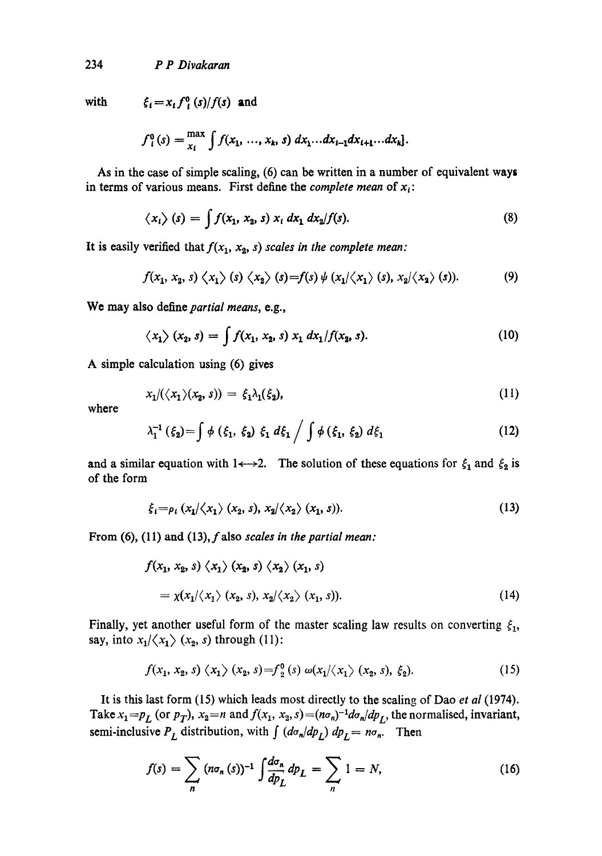234 *P P Divakaran* 

with  $\qquad \qquad \xi_i = x_i f^0_i(s)/f(s)$  and

$$
f_i^0(s) = \max_{x_i} \int f(x_1, ..., x_k, s) dx_1...dx_{i-1}dx_{i+1}...dx_k].
$$

As in the case of simple scaling, (6) can be written in a number of equivalent ways in terms of various means. First define the *complete mean* of  $x_i$ :

$$
\langle x_i \rangle (s) = \int f(x_1, x_2, s) x_i dx_1 dx_2/f(s). \tag{8}
$$

It is easily verified that  $f(x_1, x_2, s)$  scales in the complete mean:

$$
f(x_1, x_2, s) \langle x_1 \rangle (s) \langle x_2 \rangle (s) = f(s) \psi(x_1/\langle x_1 \rangle (s), x_2/\langle x_2 \rangle (s)). \tag{9}
$$

We may also define *partial means,* e.g.,

$$
\langle x_1 \rangle (x_2, s) = \int f(x_1, x_2, s) x_1 dx_1 / f(x_2, s).
$$
 (10)

A simple calculation using (6) gives

$$
x_1/(\langle x_1 \rangle (x_2, s)) = \xi_1 \lambda_1(\xi_2), \tag{11}
$$

where

$$
\lambda_1^{-1} (\xi_2) = \int \phi (\xi_1, \xi_2) \xi_1 d\xi_1 / \int \phi (\xi_1, \xi_2) d\xi_1
$$
 (12)

and a similar equation with 1 $\leftrightarrow$ -2. The solution of these equations for  $\xi_1$  and  $\xi_2$  is of the form

$$
\xi_i = \rho_i \left( x_1 / \langle x_1 \rangle \left( x_2, s \right), x_2 / \langle x_2 \rangle \left( x_1, s \right) \right). \tag{13}
$$

From **(6), (11) and (13), f** also *scales in the partial mean:* 

$$
f(x_1, x_2, s) \langle x_1 \rangle (x_2, s) \langle x_2 \rangle (x_1, s)
$$
  
=  $\chi(x_1/\langle x_1 \rangle (x_2, s), x_2/\langle x_2 \rangle (x_1, s)).$  (14)

Finally, yet another useful form of the master scaling law results on converting  $\xi_1$ , say, into  $x_1/\langle x_1 \rangle$  ( $x_2$ , s) through (11):

$$
f(x_1, x_2, s) \langle x_1 \rangle (x_2, s) = f_2^0(s) \omega(x_1/\langle x_1 \rangle (x_2, s), \xi_2). \tag{15}
$$

It is this last form (15) which leads most directly to the scaling of Dao *et al* (1974). Take  $x_1 = p_L$  (or  $p_T$ ),  $x_2 = n$  and  $f(x_1, x_2, s) = (n\sigma_n)^{-1} d\sigma_n / dp_L$ , the normalised, invariant, semi-inclusive  $P_L$  distribution, with  $\int (d\sigma_n/dp_L) dp_L = n\sigma_n$ . Then

$$
f(s) = \sum_{n} (n\sigma_n(s))^{-1} \int \frac{d\sigma_n}{dp_L} dp_L = \sum_{n} 1 = N,
$$
 (16)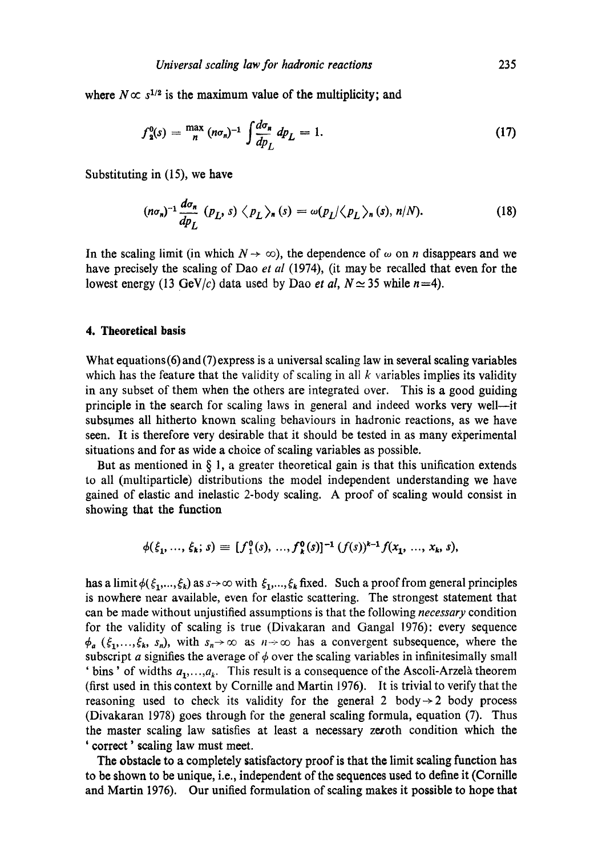where  $N \propto s^{1/2}$  is the maximum value of the multiplicity; and

$$
f_{2}^{0}(s) = \frac{\max}{n} (n\sigma_{n})^{-1} \int \frac{d\sigma_{n}}{dp_{L}} dp_{L} = 1.
$$
 (17)

Substituting in (15), we have

$$
(n\sigma_n)^{-1} \frac{d\sigma_n}{dp_L} (p_L, s) \langle p_L \rangle_n (s) = \omega(p_L) \langle p_L \rangle_n (s), n/N). \tag{18}
$$

In the scaling limit (in which  $N \to \infty$ ), the dependence of  $\omega$  on *n* disappears and we have precisely the scaling of Dao *et al* (1974), (it may be recalled that even for the lowest energy (13 GeV/c) data used by Dao *et al, N*  $\simeq$  35 while *n*=4).

#### **4. Theoretical basis**

What equations (6)and (7)express is a universal scaling law in several scaling variables which has the feature that the validity of scaling in all  $k$  variables implies its validity in any subset of them when the others are integrated over. This is a good guiding principle in the search for scaling laws in general and indeed works very well--it subsumes all hitherto known scaling behaviours in hadronic reactions, as we have seen. It is therefore very desirable that it should be tested in as many experimental situations and for as wide a choice of scaling variables as possible.

But as mentioned in  $\S$  1, a greater theoretical gain is that this unification extends to all (multiparticle) distributions the model independent understanding we have gained of elastic and inelastic 2-body scaling. A proof of scaling would consist in showing that the function

$$
\phi(\xi_1, ..., \xi_k; s) \equiv [f_1^0(s), ..., f_k^0(s)]^{-1} (f(s))^{k-1} f(x_1, ..., x_k, s),
$$

has a limit  $\phi(\xi_1,...,\xi_k)$  as  $s\rightarrow\infty$  with  $\xi_1,...,\xi_k$  fixed. Such a proof from general principles is nowhere near available, even for elastic scattering. The strongest statement that can be made without unjustified assumptions is that the following *necessary* condition for the validity of scaling is true (Divakaran and Gangal 1976): every sequence  $\phi_a$  ( $\xi_1, ..., \xi_k$ ,  $s_n$ ), with  $s_n \to \infty$  as  $n \to \infty$  has a convergent subsequence, where the subscript a signifies the average of  $\phi$  over the scaling variables in infinitesimally small ' bins' of widths  $a_1, \ldots, a_k$ . This result is a consequence of the Ascoli-Arzelà theorem (first used in this context by Cornille and Martin 1976). It is trivial to verify that the reasoning used to check its validity for the general 2 body $\rightarrow$  2 body process (Divakaran 1978) goes through for the general scaling formula, equation (7). Thus the master scaling law satisfies at least a necessary zeroth condition which the ' correct' scaling law must meet.

The obstacle to a completely satisfactory proof is that the limit scaling function has to be shown to be unique, i.e., independent of the sequences used to define it (Cornille and Martin 1976). Our unified formulation of scaling makes it possible to hope that